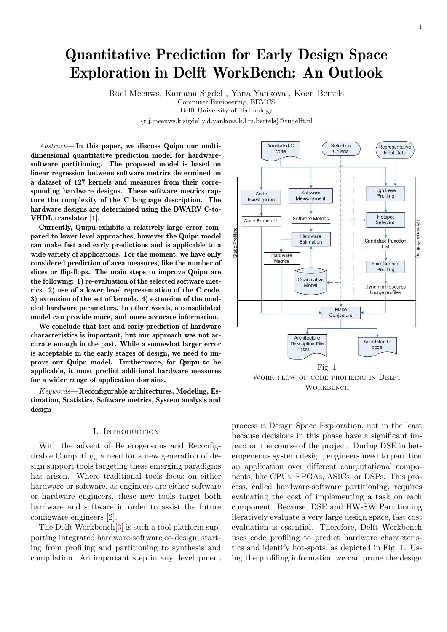# Quantitative Prediction for Early Design Space Exploration in Delft WorkBench: An Outlook

Roel Meeuws, Kamana Sigdel , Yana Yankova , Koen Bertels Computer Engineering, EEMCS Delft University of Technology

{r.j.meeuws,k.sigdel,y.d.yankova,k.l.m.bertels}@tudelft.nl

Abstract— In this paper, we discuss Quipu our multidimensional quantitative prediction model for hardwaresoftware partitioning. The proposed model is based on linear regression between software metrics determined on a dataset of 127 kernels and measures from their corresponding hardware designs. These software metrics capture the complexity of the C language description. The hardware designs are determined using the DWARV C-to-VHDL translator [\[1\]](#page-5-0).

Currently, Quipu exhibits a relatively large error compared to lower level approaches, however the Quipu model can make fast and early predictions and is applicable to a wide variety of applications. For the moment, we have only considered prediction of area measures, like the number of slices or flip-flops. The main steps to improve Quipu are the following: 1) re-evaluation of the selected software metrics. 2) use of a lower level representation of the C code. 3) extension of the set of kernels. 4) extension of the modeled hardware parameters. In other words, a consolidated model can provide more, and more accurate information.

We conclude that fast and early prediction of hardware characteristics is important, but our approach was not accurate enough in the past. While a somewhat larger error is acceptable in the early stages of design, we need to improve our Quipu model. Furthermore, for Quipu to be applicable, it must predict additional hardware measures for a wider range of application domains.

Keywords—Reconfigurable architectures, Modeling, Estimation, Statistics, Software metrics, System analysis and design

#### I. Introduction

With the advent of Heterogeneous and Reconfigurable Computing, a need for a new generation of design support tools targeting these emerging paradigms has arisen. Where traditional tools focus on either hardware or software, as engineers are either software or hardware engineers, these new tools target both hardware and software in order to assist the future configware engineers [\[2\]](#page-5-1).

The Delft Workbench[\[3\]](#page-5-2) is such a tool platform supporting integrated hardware-software co-design, starting from profiling and partitioning to synthesis and compilation. An important step in any development



<span id="page-0-0"></span>**WORKBENCH** 

process is Design Space Exploration, not in the least because decisions in this phase have a significant impact on the course of the project. During DSE in heterogeneous system design, engineers need to partition an application over different computational components, like CPUs, FPGAs, ASICs, or DSPs. This process, called hardware-software partitioning, requires evaluating the cost of implementing a task on each component. Because, DSE and HW-SW Partitioning iteratively evaluate a very large design space, fast cost evaluation is essential. Therefore, Delft Workbench uses code profiling to predict hardware characteristics and identify hot-spots, as depicted in Fig. [1.](#page-0-0) Using the profiling information we can prune the design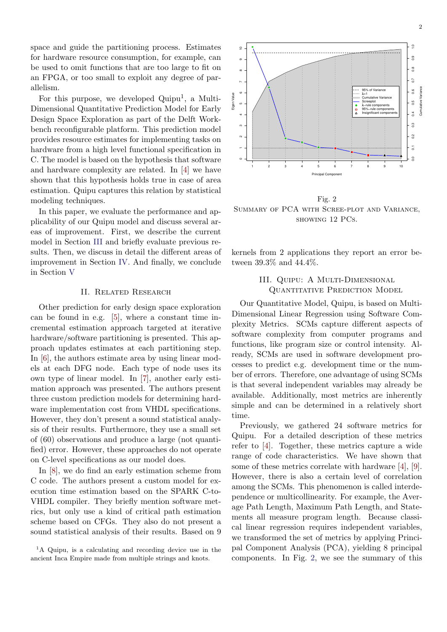space and guide the partitioning process. Estimates for hardware resource consumption, for example, can be used to omit functions that are too large to fit on an FPGA, or too small to exploit any degree of parallelism.

For this purpose, we developed  $\text{Quipu}^1$ , a Multi-Dimensional Quantitative Prediction Model for Early Design Space Exploration as part of the Delft Workbench reconfigurable platform. This prediction model provides resource estimates for implementing tasks on hardware from a high level functional specification in C. The model is based on the hypothesis that software and hardware complexity are related. In [\[4\]](#page-5-3) we have shown that this hypothesis holds true in case of area estimation. Quipu captures this relation by statistical modeling techniques.

In this paper, we evaluate the performance and applicability of our Quipu model and discuss several areas of improvement. First, we describe the current model in Section [III](#page-1-0) and briefly evaluate previous results. Then, we discuss in detail the different areas of improvement in Section [IV.](#page-3-0) And finally, we conclude in Section [V](#page-5-4)

#### II. Related Research

Other prediction for early design space exploration can be found in e.g. [\[5\]](#page-5-5), where a constant time incremental estimation approach targeted at iterative hardware/software partitioning is presented. This approach updates estimates at each partitioning step. In [\[6\]](#page-5-6), the authors estimate area by using linear models at each DFG node. Each type of node uses its own type of linear model. In [\[7\]](#page-5-7), another early estimation approach was presented. The authors present three custom prediction models for determining hardware implementation cost from VHDL specifications. However, they don't present a sound statistical analysis of their results. Furthermore, they use a small set of (60) observations and produce a large (not quantified) error. However, these approaches do not operate on C-level specifications as our model does.

In [\[8\]](#page-5-8), we do find an early estimation scheme from C code. The authors present a custom model for execution time estimation based on the SPARK C-to-VHDL compiler. They briefly mention software metrics, but only use a kind of critical path estimation scheme based on CFGs. They also do not present a sound statistical analysis of their results. Based on 9



<span id="page-1-1"></span>Fig. 2 Summary of PCA with Scree-plot and Variance, showing 12 PCs.

<span id="page-1-0"></span>kernels from 2 applications they report an error between 39.3% and 44.4%.

## III. QUIPU: A MULTI-DIMENSIONAL QUANTITATIVE PREDICTION MODEL

Our Quantitative Model, Quipu, is based on Multi-Dimensional Linear Regression using Software Complexity Metrics. SCMs capture different aspects of software complexity from computer programs and functions, like program size or control intensity. Already, SCMs are used in software development processes to predict e.g. development time or the number of errors. Therefore, one advantage of using SCMs is that several independent variables may already be available. Additionally, most metrics are inherently simple and can be determined in a relatively short time.

Previously, we gathered 24 software metrics for Quipu. For a detailed description of these metrics refer to [\[4\]](#page-5-3). Together, these metrics capture a wide range of code characteristics. We have shown that some of these metrics correlate with hardware [\[4\]](#page-5-3), [\[9\]](#page-5-9). However, there is also a certain level of correlation among the SCMs. This phenomenon is called interdependence or multicollinearity. For example, the Average Path Length, Maximum Path Length, and Statements all measure program length. Because classical linear regression requires independent variables, we transformed the set of metrics by applying Principal Component Analysis (PCA), yielding 8 principal components. In Fig. [2,](#page-1-1) we see the summary of this

<sup>&</sup>lt;sup>1</sup>A Quipu, is a calculating and recording device use in the ancient Inca Empire made from multiple strings and knots.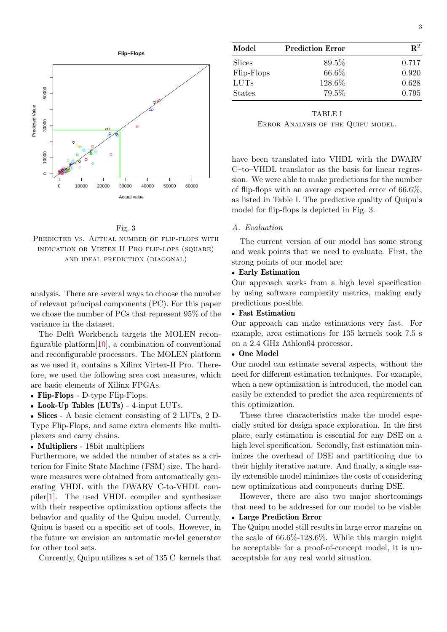

<span id="page-2-1"></span>Fig. 3 PREDICTED VS. ACTUAL NUMBER OF FLIP-FLOPS WITH INDICATION OR VIRTEX II PRO FLIP-LOPS (SQUARE) and ideal prediction (diagonal)

analysis. There are several ways to choose the number of relevant principal components (PC). For this paper we chose the number of PCs that represent 95% of the variance in the dataset.

The Delft Workbench targets the MOLEN reconfigurable platform[\[10\]](#page-5-10), a combination of conventional and reconfigurable processors. The MOLEN platform as we used it, contains a Xilinx Virtex-II Pro. Therefore, we used the following area cost measures, which are basic elements of Xilinx FPGAs.

• Flip-Flops - D-type Flip-Flops.

• Look-Up Tables (LUTs) - 4-input LUTs.

• Slices - A basic element consisting of 2 LUTs, 2 D-Type Flip-Flops, and some extra elements like multiplexers and carry chains.

#### • Multipliers - 18bit multipliers

Furthermore, we added the number of states as a criterion for Finite State Machine (FSM) size. The hardware measures were obtained from automatically generating VHDL with the DWARV C-to-VHDL compiler[\[1\]](#page-5-0). The used VHDL compiler and synthesizer with their respective optimization options affects the behavior and quality of the Quipu model. Currently, Quipu is based on a specific set of tools. However, in the future we envision an automatic model generator for other tool sets.

Currently, Quipu utilizes a set of 135 C–kernels that

| Model         | <b>Prediction Error</b> | ${\bf R}^2$ |
|---------------|-------------------------|-------------|
| <b>Slices</b> | 89.5%                   | 0.717       |
| Flip-Flops    | 66.6%                   | 0.920       |
| <b>LUTs</b>   | 128.6%                  | 0.628       |
| <b>States</b> | 79.5%                   | 0.795       |

<span id="page-2-0"></span>TABLE I Error Analysis of the Quipu model.

have been translated into VHDL with the DWARV C–to–VHDL translator as the basis for linear regression. We were able to make predictions for the number of flip-flops with an average expected error of 66.6%, as listed in Table [I.](#page-2-0) The predictive quality of Quipu's model for flip-flops is depicted in Fig. [3.](#page-2-1)

## <span id="page-2-2"></span>A. Evaluation

The current version of our model has some strong and weak points that we need to evaluate. First, the strong points of our model are:

## • Early Estimation

Our approach works from a high level specification by using software complexity metrics, making early predictions possible.

#### • Fast Estimation

Our approach can make estimations very fast. For example, area estimations for 135 kernels took 7.5 s on a 2.4 GHz Athlon64 processor.

#### • One Model

Our model can estimate several aspects, without the need for different estimation techniques. For example, when a new optimization is introduced, the model can easily be extended to predict the area requirements of this optimization.

These three characteristics make the model especially suited for design space exploration. In the first place, early estimation is essential for any DSE on a high level specification. Secondly, fast estimation minimizes the overhead of DSE and partitioning due to their highly iterative nature. And finally, a single easily extensible model minimizes the costs of considering new optimizations and components during DSE.

However, there are also two major shortcomings that need to be addressed for our model to be viable:

## • Large Prediction Error

The Quipu model still results in large error margins on the scale of  $66.6\%$ -128.6%. While this margin might be acceptable for a proof-of-concept model, it is unacceptable for any real world situation.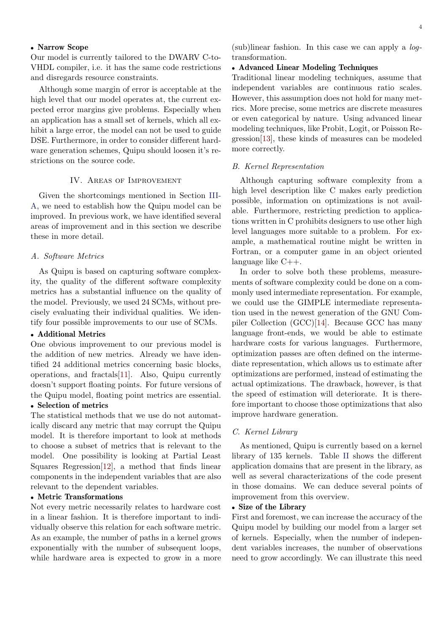## • Narrow Scope

Our model is currently tailored to the DWARV C-to-VHDL compiler, i.e. it has the same code restrictions and disregards resource constraints.

Although some margin of error is acceptable at the high level that our model operates at, the current expected error margins give problems. Especially when an application has a small set of kernels, which all exhibit a large error, the model can not be used to guide DSE. Furthermore, in order to consider different hardware generation schemes, Quipu should loosen it's restrictions on the source code.

## IV. Areas of Improvement

<span id="page-3-0"></span>Given the shortcomings mentioned in Section [III-](#page-2-2)[A,](#page-2-2) we need to establish how the Quipu model can be improved. In previous work, we have identified several areas of improvement and in this section we describe these in more detail.

#### A. Software Metrics

As Quipu is based on capturing software complexity, the quality of the different software complexity metrics has a substantial influence on the quality of the model. Previously, we used 24 SCMs, without precisely evaluating their individual qualities. We identify four possible improvements to our use of SCMs.

#### • Additional Metrics

One obvious improvement to our previous model is the addition of new metrics. Already we have identified 24 additional metrics concerning basic blocks, operations, and fractals[\[11\]](#page-5-11). Also, Quipu currently doesn't support floating points. For future versions of the Quipu model, floating point metrics are essential.

## • Selection of metrics

The statistical methods that we use do not automatically discard any metric that may corrupt the Quipu model. It is therefore important to look at methods to choose a subset of metrics that is relevant to the model. One possibility is looking at Partial Least Squares Regression $[12]$ , a method that finds linear components in the independent variables that are also relevant to the dependent variables.

### • Metric Transformations

Not every metric necessarily relates to hardware cost in a linear fashion. It is therefore important to individually observe this relation for each software metric. As an example, the number of paths in a kernel grows exponentially with the number of subsequent loops, while hardware area is expected to grow in a more

 $(sub)$ linear fashion. In this case we can apply a *log*transformation.

## • Advanced Linear Modeling Techniques

Traditional linear modeling techniques, assume that independent variables are continuous ratio scales. However, this assumption does not hold for many metrics. More precise, some metrics are discrete measures or even categorical by nature. Using advanced linear modeling techniques, like Probit, Logit, or Poisson Regression[\[13\]](#page-5-13), these kinds of measures can be modeled more correctly.

#### B. Kernel Representation

Although capturing software complexity from a high level description like C makes early prediction possible, information on optimizations is not available. Furthermore, restricting prediction to applications written in C prohibits designers to use other high level languages more suitable to a problem. For example, a mathematical routine might be written in Fortran, or a computer game in an object oriented language like C++.

In order to solve both these problems, measurements of software complexity could be done on a commonly used intermediate representation. For example, we could use the GIMPLE intermediate representation used in the newest generation of the GNU Compiler Collection (GCC)[\[14\]](#page-5-14). Because GCC has many language front-ends, we would be able to estimate hardware costs for various languages. Furthermore, optimization passes are often defined on the intermediate representation, which allows us to estimate after optimizations are performed, instead of estimating the actual optimizations. The drawback, however, is that the speed of estimation will deteriorate. It is therefore important to choose those optimizations that also improve hardware generation.

#### C. Kernel Library

As mentioned, Quipu is currently based on a kernel library of 135 kernels. Table [II](#page-4-0) shows the different application domains that are present in the library, as well as several characterizations of the code present in those domains. We can deduce several points of improvement from this overview.

## • Size of the Library

First and foremost, we can increase the accuracy of the Quipu model by building our model from a larger set of kernels. Especially, when the number of independent variables increases, the number of observations need to grow accordingly. We can illustrate this need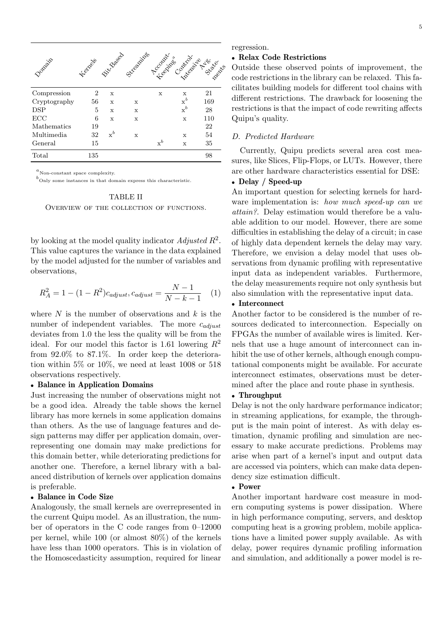| Doppair      | Herresia | Fith Based     | Sizeparizes |                |                | A Leonard Control side Asia Regis |
|--------------|----------|----------------|-------------|----------------|----------------|-----------------------------------|
| Compression  | 2        | X              |             | X              | X              | 21                                |
| Cryptography | 56       | $\mathbf x$    | X           |                | $\mathbf{x}^b$ | 169                               |
| <b>DSP</b>   | 5        | X              | X           |                | $x^b$          | 28                                |
| ECC          | 6        | $\mathbf x$    | X           |                | $\mathbf x$    | 110                               |
| Mathematics  | 19       |                |             |                |                | 22                                |
| Multimedia   | 32       | $\mathbf{x}^b$ | X           |                | X              | 54                                |
| General      | 15       |                |             | $\mathbf{x}^b$ | X              | 35                                |
| Total        | 135      |                |             |                |                | 98                                |

 $\prescript{a}{}{\text{Non-constant}}$  space complexity.

<span id="page-4-0"></span> $\prescript{b}{}{\textrm{Only}}$  some instances in that domain express this characteristic.

TABLE II Overview of the collection of functions.

by looking at the model quality indicator  $Adjusted R<sup>2</sup>$ . This value captures the variance in the data explained by the model adjusted for the number of variables and observations,

$$
R_A^2 = 1 - (1 - R^2)c_{adjust}, c_{adjust} = \frac{N - 1}{N - k - 1} \tag{1}
$$

where  $N$  is the number of observations and  $k$  is the number of independent variables. The more  $c_{adjust}$ deviates from 1.0 the less the quality will be from the ideal. For our model this factor is 1.61 lowering  $R^2$ from 92.0% to 87.1%. In order keep the deterioration within 5% or 10%, we need at least 1008 or 518 observations respectively.

#### • Balance in Application Domains

Just increasing the number of observations might not be a good idea. Already the table shows the kernel library has more kernels in some application domains than others. As the use of language features and design patterns may differ per application domain, overrepresenting one domain may make predictions for this domain better, while deteriorating predictions for another one. Therefore, a kernel library with a balanced distribution of kernels over application domains is preferable.

### • Balance in Code Size

Analogously, the small kernels are overrepresented in the current Quipu model. As an illustration, the number of operators in the C code ranges from 0–12000 per kernel, while 100 (or almost 80%) of the kernels have less than 1000 operators. This is in violation of the Homoscedasticity assumption, required for linear

regression.

## • Relax Code Restrictions

 $\begin{array}{c} \n\bullet \rightarrow \infty \\
\downarrow \infty\n\end{array}$  Outside these observed points of improvement, the code restrictions in the library can be relaxed. This facode restrictions in the library can be relaxed. This facilitates building models for different tool chains with different restrictions. The drawback for loosening the restrictions is that the impact of code rewriting affects Quipu's quality.

## D. Predicted Hardware

Currently, Quipu predicts several area cost measures, like Slices, Flip-Flops, or LUTs. However, there are other hardware characteristics essential for DSE:

### • Delay / Speed-up

An important question for selecting kernels for hardware implementation is: how much speed-up can we attain?. Delay estimation would therefore be a valuable addition to our model. However, there are some difficulties in establishing the delay of a circuit; in case of highly data dependent kernels the delay may vary. Therefore, we envision a delay model that uses observations from dynamic profiling with representative input data as independent variables. Furthermore, the delay measurements require not only synthesis but also simulation with the representative input data.

#### • Interconnect

Another factor to be considered is the number of resources dedicated to interconnection. Especially on FPGAs the number of available wires is limited. Kernels that use a huge amount of interconnect can inhibit the use of other kernels, although enough computational components might be available. For accurate interconnect estimates, observations must be determined after the place and route phase in synthesis.

#### • Throughput

Delay is not the only hardware performance indicator; in streaming applications, for example, the throughput is the main point of interest. As with delay estimation, dynamic profiling and simulation are necessary to make accurate predictions. Problems may arise when part of a kernel's input and output data are accessed via pointers, which can make data dependency size estimation difficult.

#### • Power

Another important hardware cost measure in modern computing systems is power dissipation. Where in high performance computing, servers, and desktop computing heat is a growing problem, mobile applications have a limited power supply available. As with delay, power requires dynamic profiling information and simulation, and additionally a power model is re